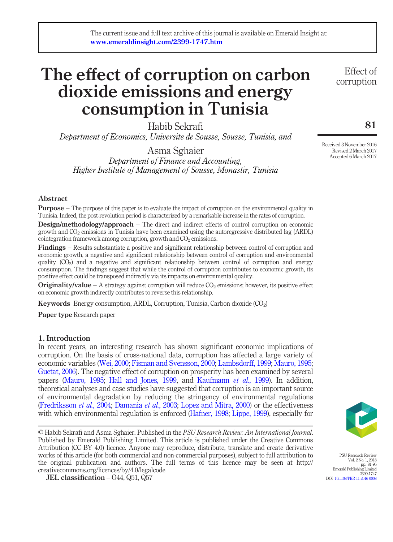# The effect of corruption on carbon dioxide emissions and energy consumption in Tunisia

Habib Sekrafi

Department of Economics, Universite de Sousse, Sousse, Tunisia, and

Asma Sghaier Department of Finance and Accounting, Higher Institute of Management of Sousse, Monastir, Tunisia

Abstract

Purpose – The purpose of this paper is to evaluate the impact of corruption on the environmental quality in Tunisia. Indeed, the post-revolution period is characterized by a remarkable increase in the rates of corruption.

Design/methodology/approach – The direct and indirect effects of control corruption on economic growth and  $CO<sub>2</sub>$  emissions in Tunisia have been examined using the autoregressive distributed lag (ARDL) cointegration framework among corruption, growth and  $CO<sub>2</sub>$  emissions.

Findings – Results substantiate a positive and significant relationship between control of corruption and economic growth, a negative and significant relationship between control of corruption and environmental quality  $(CO<sub>2</sub>)$  and a negative and significant relationship between control of corruption and energy consumption. The findings suggest that while the control of corruption contributes to economic growth, its positive effect could be transposed indirectly via its impacts on environmental quality.

**Originality/value** – A strategy against corruption will reduce  $CO<sub>2</sub>$  emissions; however, its positive effect on economic growth indirectly contributes to reverse this relationship.

**Keywords** Energy consumption, ARDL, Corruption, Tunisia, Carbon dioxide  $(CO<sub>2</sub>)$ 

Paper type Research paper

## 1. Introduction

In recent years, an interesting research has shown significant economic implications of corruption. On the basis of cross-national data, corruption has affected a large variety of economic variables ([Wei, 2000;](#page-14-0) [Fisman and Svensson, 2000;](#page-13-0) [Lambsdorff, 1999](#page-13-1); [Mauro, 1995](#page-14-1); [Guetat, 2006](#page-13-2)). The negative effect of corruption on prosperity has been examined by several papers ([Mauro, 1995](#page-14-1); [Hall and Jones, 1999,](#page-13-3) and [Kaufmann](#page-13-4) et al., 1999). In addition, theoretical analyses and case studies have suggested that corruption is an important source of environmental degradation by reducing the stringency of environmental regulations [\(Fredriksson](#page-13-5) et al., 2004; [Damania](#page-13-6) et al., 2003; [Lopez and Mitra, 2000\)](#page-13-7) or the effectiveness with which environmental regulation is enforced ([Hafner, 1998;](#page-13-8) [Lippe, 1999](#page-13-9)), especially for

© Habib Sekrafi and Asma Sghaier. Published in the PSU Research Review: An International Journal. Published by Emerald Publishing Limited. This article is published under the Creative Commons Attribution (CC BY 4.0) licence. Anyone may reproduce, distribute, translate and create derivative works of this article (for both commercial and non-commercial purposes), subject to full attribution to the original publication and authors. The full terms of this licence may be seen at http:// creativecommons.org/licences/by/4.0/legalcode

JEL classification – O44, Q51, Q57

PSU Research Review Vol. 2 No. 1, 2018 pp. 81-95 Emerald Publishing Limited 2399-1747 DOI [10.1108/PRR-11-2016-0008](http://dx.doi.org/10.1108/PRR-11-2016-0008)

Received 3 November 2016 Revised 2 March 2017 Accepted 6 March 2017



81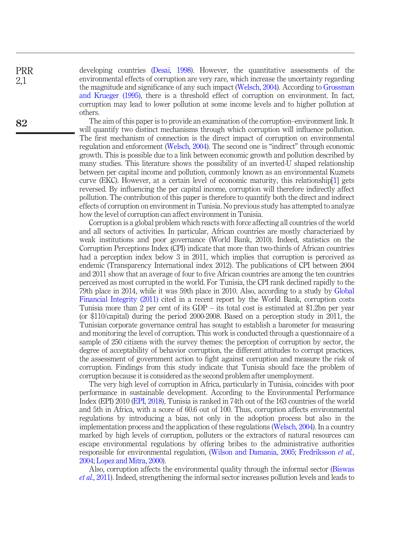PRR 2,1

82

developing countries [\(Desai, 1998\)](#page-13-10). However, the quantitative assessments of the environmental effects of corruption are very rare, which increase the uncertainty regarding the magnitude and significance of any such impact ([Welsch, 2004\)](#page-14-2). According to [Grossman](#page-13-11) [and Krueger \(1995\)](#page-13-11), there is a threshold effect of corruption on environment. In fact, corruption may lead to lower pollution at some income levels and to higher pollution at others.

The aim of this paper is to provide an examination of the corruption–environment link. It will quantify two distinct mechanisms through which corruption will influence pollution. The first mechanism of connection is the direct impact of corruption on environmental regulation and enforcement [\(Welsch, 2004\)](#page-14-2). The second one is "indirect" through economic growth. This is possible due to a link between economic growth and pollution described by many studies. This literature shows the possibility of an inverted-U shaped relationship between per capital income and pollution, commonly known as an environmental Kuznets curve (EKC). However, at a certain level of economic maturity, this relationship[[1\]](#page-12-0) gets reversed. By influencing the per capital income, corruption will therefore indirectly affect pollution. The contribution of this paper is therefore to quantify both the direct and indirect effects of corruption on environment in Tunisia. No previous study has attempted to analyze how the level of corruption can affect environment in Tunisia.

Corruption is a global problem which reacts with force affecting all countries of the world and all sectors of activities. In particular, African countries are mostly characterized by weak institutions and poor governance (World Bank, 2010). Indeed, statistics on the Corruption Perceptions Index (CPI) indicate that more than two-thirds of African countries had a perception index below 3 in 2011, which implies that corruption is perceived as endemic (Transparency International index 2012). The publications of CPI between 2004 and 2011 show that an average of four to five African countries are among the ten countries perceived as most corrupted in the world. For Tunisia, the CPI rank declined rapidly to the 79th place in 2014, while it was 59th place in 2010. Also, according to a study by [Global](#page-13-12) [Financial Integrity \(2011\)](#page-13-12) cited in a recent report by the World Bank, corruption costs Tunisia more than 2 per cent of its GDP – its total cost is estimated at \$1.2bn per year (or \$110/capital) during the period 2000-2008. Based on a perception study in 2011, the Tunisian corporate governance central has sought to establish a barometer for measuring and monitoring the level of corruption. This work is conducted through a questionnaire of a sample of 250 citizens with the survey themes: the perception of corruption by sector, the degree of acceptability of behavior corruption, the different attitudes to corrupt practices, the assessment of government action to fight against corruption and measure the risk of corruption. Findings from this study indicate that Tunisia should face the problem of corruption because it is considered as the second problem after unemployment.

The very high level of corruption in Africa, particularly in Tunisia, coincides with poor performance in sustainable development. According to the Environmental Performance Index (EPI) 2010 [\(EPI, 2018\)](#page-13-13), Tunisia is ranked in 74th out of the 163 countries of the world and 5th in Africa, with a score of 60.6 out of 100. Thus, corruption affects environmental regulations by introducing a bias, not only in the adoption process but also in the implementation process and the application of these regulations [\(Welsch, 2004\)](#page-14-2). In a country marked by high levels of corruption, polluters or the extractors of natural resources can escape environmental regulations by offering bribes to the administrative authorities responsible for environmental regulation, [\(Wilson and Damania, 2005](#page-14-3); [Fredriksson](#page-13-5) et al., [2004](#page-13-5); [Lopez and Mitra, 2000](#page-13-7)).

Also, corruption affects the environmental quality through the informal sector ([Biswas](#page-12-1) et al.[, 2011\)](#page-12-1). Indeed, strengthening the informal sector increases pollution levels and leads to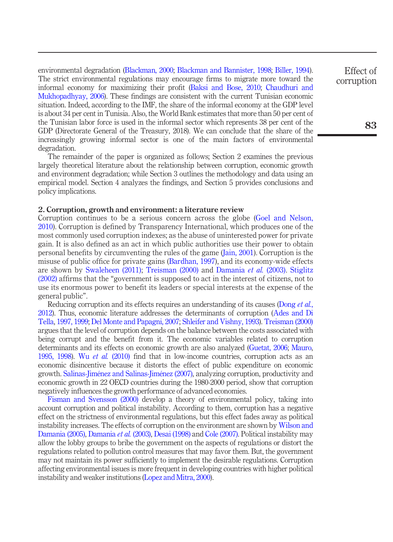environmental degradation ([Blackman, 2000;](#page-12-2) [Blackman and Bannister, 1998;](#page-12-3) [Biller, 1994\)](#page-12-4). The strict environmental regulations may encourage firms to migrate more toward the informal economy for maximizing their profit [\(Baksi and Bose, 2010](#page-12-5); [Chaudhuri and](#page-12-6) [Mukhopadhyay, 2006\)](#page-12-6). These findings are consistent with the current Tunisian economic situation. Indeed, according to the IMF, the share of the informal economy at the GDP level is about 34 per cent in Tunisia. Also, the World Bank estimates that more than 50 per cent of the Tunisian labor force is used in the informal sector which represents 38 per cent of the GDP (Directorate General of the Treasury, 2018). We can conclude that the share of the increasingly growing informal sector is one of the main factors of environmental degradation.

The remainder of the paper is organized as follows; Section 2 examines the previous largely theoretical literature about the relationship between corruption, economic growth and environment degradation; while Section 3 outlines the methodology and data using an empirical model. Section 4 analyzes the findings, and Section 5 provides conclusions and policy implications.

## 2. Corruption, growth and environment: a literature review

Corruption continues to be a serious concern across the globe [\(Goel and Nelson,](#page-13-14) [2010\)](#page-13-14). Corruption is defined by Transparency International, which produces one of the most commonly used corruption indexes; as the abuse of uninterested power for private gain. It is also defined as an act in which public authorities use their power to obtain personal benefits by circumventing the rules of the game ([Jain, 2001\)](#page-13-13). Corruption is the misuse of public office for private gains [\(Bardhan, 1997](#page-12-7)), and its economy-wide effects are shown by [Swaleheen \(2011\);](#page-14-4) [Treisman \(2000\)](#page-14-5) and [Damania](#page-13-6) et al. (2003). [Stiglitz](#page-14-6) [\(2002\)](#page-14-6) affirms that the "government is supposed to act in the interest of citizens, not to use its enormous power to benefit its leaders or special interests at the expense of the general public".

Reducing corruption and its effects requires an understanding of its causes [\(Dong](#page-13-15) et al., [2012\)](#page-13-15). Thus, economic literature addresses the determinants of corruption [\(Ades and Di](#page-12-8) [Tella](#page-12-8), [1997, 1999;](#page-12-9) [Del Monte and Papagni, 2007](#page-13-16); [Shleifer and Vishny, 1993](#page-14-7)). [Treisman \(2000\)](#page-14-5) argues that the level of corruption depends on the balance between the costs associated with being corrupt and the benefit from it. The economic variables related to corruption determinants and its effects on economic growth are also analyzed ([Guetat, 2006](#page-13-2); [Mauro](#page-14-1), [1995, 1998\)](#page-14-8). Wu et al. [\(2010\)](#page-14-9) find that in low-income countries, corruption acts as an economic disincentive because it distorts the effect of public expenditure on economic growth. [Salinas-Jiménez and Salinas-Jiménez \(2007\),](#page-14-10) analyzing corruption, productivity and economic growth in 22 OECD countries during the 1980-2000 period, show that corruption negatively influences the growth performance of advanced economies.

[Fisman and Svensson \(2000\)](#page-13-0) develop a theory of environmental policy, taking into account corruption and political instability. According to them, corruption has a negative effect on the strictness of environmental regulations, but this effect fades away as political instability increases. The effects of corruption on the environment are shown by [Wilson and](#page-14-3) [Damania \(2005\),](#page-14-3) [Damania](#page-13-6) et al. (2003), [Desai \(1998\)](#page-13-10) and [Cole \(2007\).](#page-12-10) Political instability may allow the lobby groups to bribe the government on the aspects of regulations or distort the regulations related to pollution control measures that may favor them. But, the government may not maintain its power sufficiently to implement the desirable regulations. Corruption affecting environmental issues is more frequent in developing countries with higher political instability and weaker institutions [\(Lopez and Mitra, 2000](#page-13-7)).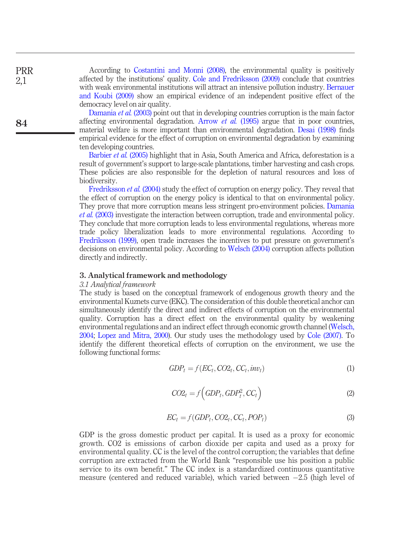<span id="page-3-0"></span>

| <b>PRR</b> | According to Costantini and Monni (2008), the environmental quality is positively             |
|------------|-----------------------------------------------------------------------------------------------|
| 2,1        | affected by the institutions' quality. Cole and Fredriksson (2009) conclude that countries    |
|            | with weak environmental institutions will attract an intensive pollution industry. Bernauer   |
|            | and Koubi (2009) show an empirical evidence of an independent positive effect of the          |
|            | democracy level on air quality.                                                               |
|            | Thomas is at al. (9009) waist and that in developing according accounting is the major factor |

[Damania](#page-13-6) *et al.* (2003) point out that in developing countries corruption is the main factor affecting environmental degradation. [Arrow](#page-12-14) *et al.*  $(1995)$  argue that in poor countries, material welfare is more important than environmental degradation. [Desai \(1998\)](#page-13-10) finds empirical evidence for the effect of corruption on environmental degradation by examining ten developing countries.

[Barbier](#page-12-15) et al. (2005) highlight that in Asia, South America and Africa, deforestation is a result of government's support to large-scale plantations, timber harvesting and cash crops. These policies are also responsible for the depletion of natural resources and loss of biodiversity.

[Fredriksson](#page-13-5) *et al.* (2004) study the effect of corruption on energy policy. They reveal that the effect of corruption on the energy policy is identical to that on environmental policy. They prove that more corruption means less stringent pro-environment policies. [Damania](#page-13-6) et al. [\(2003\)](#page-13-6) investigate the interaction between corruption, trade and environmental policy. They conclude that more corruption leads to less environmental regulations, whereas more trade policy liberalization leads to more environmental regulations. According to [Fredriksson \(1999\)](#page-13-17), open trade increases the incentives to put pressure on government's decisions on environmental policy. According to [Welsch \(2004\)](#page-14-2) corruption affects pollution directly and indirectly.

#### 3. Analytical framework and methodology

#### 3.1 Analytical framework

84

The study is based on the conceptual framework of endogenous growth theory and the environmental Kuznets curve (EKC). The consideration of this double theoretical anchor can simultaneously identify the direct and indirect effects of corruption on the environmental quality. Corruption has a direct effect on the environmental quality by weakening environmental regulations and an indirect effect through economic growth channel [\(Welsch,](#page-14-2) [2004](#page-14-2); [Lopez and Mitra, 2000](#page-13-7)). Our study uses the methodology used by [Cole \(2007\).](#page-12-10) To identify the different theoretical effects of corruption on the environment, we use the following functional forms:

$$
GDP_t = f(EC_t, CO2_t, CC_t, inv_t)
$$
\n<sup>(1)</sup>

$$
CO2t = f\left(GDPt, GDPt2, CCt\right)
$$
 (2)

$$
EC_t = f(GDP_t, CO2_t, CC_t, POP_t)
$$
\n(3)

GDP is the gross domestic product per capital. It is used as a proxy for economic growth. CO2 is emissions of carbon dioxide per capita and used as a proxy for environmental quality. CC is the level of the control corruption; the variables that define corruption are extracted from the World Bank "responsible use his position a public service to its own benefit." The CC index is a standardized continuous quantitative measure (centered and reduced variable), which varied between -2.5 (high level of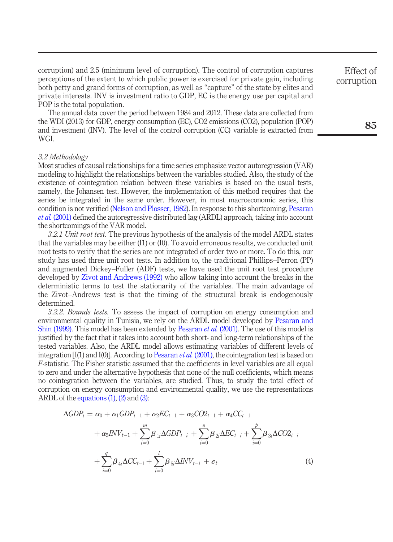corruption) and 2.5 (minimum level of corruption). The control of corruption captures perceptions of the extent to which public power is exercised for private gain, including both petty and grand forms of corruption, as well as "capture" of the state by elites and private interests. INV is investment ratio to GDP, EC is the energy use per capital and POP is the total population.

The annual data cover the period between 1984 and 2012. These data are collected from the WDI (2013) for GDP, energy consumption (EC), CO2 emissions (CO2), population (POP) and investment (INV). The level of the control corruption (CC) variable is extracted from WGI.

## 3.2 Methodology

Most studies of causal relationships for a time series emphasize vector autoregression (VAR) modeling to highlight the relationships between the variables studied. Also, the study of the existence of cointegration relation between these variables is based on the usual tests, namely, the Johansen test. However, the implementation of this method requires that the series be integrated in the same order. However, in most macroeconomic series, this condition is not verified [\(Nelson and Plosser, 1982](#page-14-11)). In response to this shortcoming, [Pesaran](#page-14-12) et al. [\(2001\)](#page-14-12) defined the autoregressive distributed lag (ARDL) approach, taking into account the shortcomings of the VAR model.

3.2.1 Unit root test. The previous hypothesis of the analysis of the model ARDL states that the variables may be either (I1) or (I0). To avoid erroneous results, we conducted unit root tests to verify that the series are not integrated of order two or more. To do this, our study has used three unit root tests. In addition to, the traditional Phillips–Perron (PP) and augmented Dickey–Fuller (ADF) tests, we have used the unit root test procedure developed by [Zivot and Andrews \(1992\)](#page-14-13) who allow taking into account the breaks in the deterministic terms to test the stationarity of the variables. The main advantage of the Zivot–Andrews test is that the timing of the structural break is endogenously determined.

3.2.2. Bounds tests. To assess the impact of corruption on energy consumption and environmental quality in Tunisia, we rely on the ARDL model developed by [Pesaran and](#page-14-14) [Shin \(1999\).](#page-14-14) This model has been extended by [Pesaran](#page-14-12) *et al.* (2001). The use of this model is justified by the fact that it takes into account both short- and long-term relationships of the tested variables. Also, the ARDL model allows estimating variables of different levels of integration  $[I(1)$  and  $I(0)]$ . According to [Pesaran](#page-14-12) *et al.* (2001), the cointegration test is based on F-statistic. The Fisher statistic assumed that the coefficients in level variables are all equal to zero and under the alternative hypothesis that none of the null coefficients, which means no cointegration between the variables, are studied. Thus, to study the total effect of corruption on energy consumption and environmental quality, we use the representations ARDL of the equations  $(1)$ ,  $(2)$  and  $(3)$ :

$$
\Delta GDP_{t} = \alpha_{0} + \alpha_{1} GDP_{t-1} + \alpha_{2} EC_{t-1} + \alpha_{3} CO2_{t-1} + \alpha_{4} CC_{t-1} + \alpha_{5} INV_{t-1} + \sum_{i=0}^{m} \beta_{1i} \Delta GDP_{t-i} + \sum_{i=0}^{n} \beta_{2i} \Delta EC_{t-i} + \sum_{i=0}^{p} \beta_{3i} \Delta CO2_{t-i} + \sum_{i=0}^{q} \beta_{4i} \Delta CC_{t-i} + \sum_{i=0}^{l} \beta_{5i} \Delta INV_{t-i} + \varepsilon_{t}
$$
\n(4)

corruption

Effect of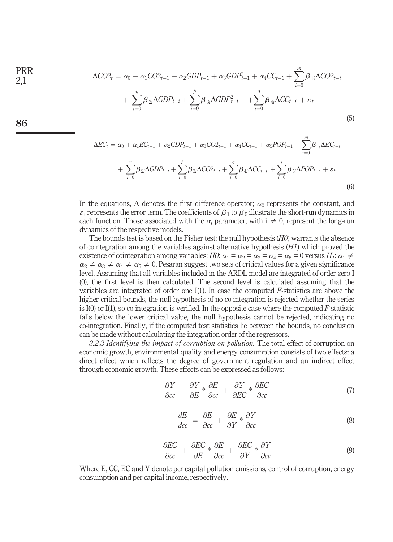$$
\Delta CO2_t = \alpha_0 + \alpha_1 CO2_{t-1} + \alpha_2 GDP_{t-1} + \alpha_3 GDP_{t-1}^2 + \alpha_4 CC_{t-1} + \sum_{i=0}^m \beta_{1i} \Delta CO2_{t-i} + \sum_{i=0}^n \beta_{2i} \Delta GDP_{t-i} + \sum_{i=0}^p \beta_{3i} \Delta GDP_{t-i}^2 + \sum_{i=0}^q \beta_{4i} \Delta CC_{t-i} + \varepsilon_t
$$
\n(5)

<span id="page-5-0"></span>PRR 2,1

86

$$
\Delta EC_{t} = \alpha_{0} + \alpha_{1} EC_{t-1} + \alpha_{2} GDP_{t-1} + \alpha_{3} CO2_{t-1} + \alpha_{4} CC_{t-1} + \alpha_{5} POP_{t-1} + \sum_{i=0}^{m} \beta_{1i} \Delta EC_{t-i} + \sum_{i=0}^{n} \beta_{2i} \Delta GDP_{t-i} + \sum_{i=0}^{p} \beta_{3i} \Delta CO2_{t-i} + \sum_{i=0}^{q} \beta_{4i} \Delta CC_{t-i} + \sum_{i=0}^{l} \beta_{5i} \Delta POP_{t-i} + \varepsilon_{t}
$$
\n(6)

In the equations,  $\Delta$  denotes the first difference operator;  $\alpha_0$  represents the constant, and  $\varepsilon_1$  represents the error term. The coefficients of  $\beta_1$  to  $\beta_5$  illustrate the short-run dynamics in each function. Those associated with the  $\alpha_i$  parameter, with  $i \neq 0$ , represent the long-run dynamics of the respective models.

The bounds test is based on the Fisher test: the null hypothesis  $(H<sub>0</sub>)$  warrants the absence of cointegration among the variables against alternative hypothesis (H1) which proved the existence of cointegration among variables: H0:  $\alpha_1 = \alpha_2 = \alpha_3 = \alpha_4 = \alpha_5 = 0$  versus  $H_1: \alpha_1 \neq \alpha_2$  $\alpha_2 \neq \alpha_3 \neq \alpha_4 \neq \alpha_5 \neq 0$ . Pesaran suggest two sets of critical values for a given significance level. Assuming that all variables included in the ARDL model are integrated of order zero I (0), the first level is then calculated. The second level is calculated assuming that the variables are integrated of order one I(1). In case the computed  $F$ -statistics are above the higher critical bounds, the null hypothesis of no co-integration is rejected whether the series is I(0) or I(1), so co-integration is verified. In the opposite case where the computed F-statistic falls below the lower critical value, the null hypothesis cannot be rejected, indicating no co-integration. Finally, if the computed test statistics lie between the bounds, no conclusion can be made without calculating the integration order of the regressors.

3.2.3 Identifying the impact of corruption on pollution. The total effect of corruption on economic growth, environmental quality and energy consumption consists of two effects: a direct effect which reflects the degree of government regulation and an indirect effect through economic growth. These effects can be expressed as follows:

$$
\frac{\partial Y}{\partial cc} + \frac{\partial Y}{\partial E} * \frac{\partial E}{\partial cc} + \frac{\partial Y}{\partial EC} * \frac{\partial EC}{\partial cc}
$$
 (7)

$$
\frac{dE}{dcc} = \frac{\partial E}{\partial cc} + \frac{\partial E}{\partial Y} * \frac{\partial Y}{\partial cc}
$$
\n(8)

$$
\frac{\partial EC}{\partial cc} + \frac{\partial EC}{\partial E} * \frac{\partial E}{\partial cc} + \frac{\partial EC}{\partial Y} * \frac{\partial Y}{\partial cc}
$$
(9)

Where E, CC, EC and Y denote per capital pollution emissions, control of corruption, energy consumption and per capital income, respectively.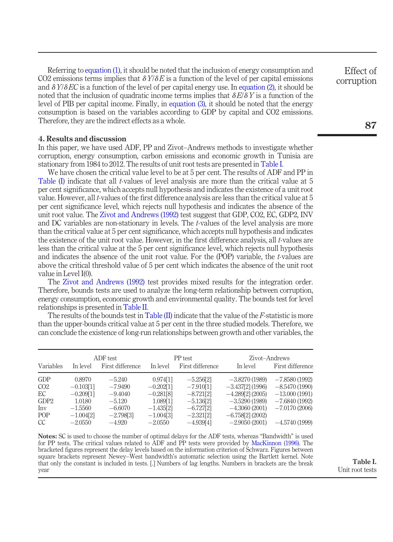Referring to [equation \(1\),](#page-3-0) it should be noted that the inclusion of energy consumption and CO2 emissions terms implies that  $\delta Y/\delta E$  is a function of the level of per capital emissions and  $\delta Y/\delta EC$  is a function of the level of per capital energy use. In [equation \(2\),](#page-3-0) it should be noted that the inclusion of quadratic income terms implies that  $\delta E/\delta Y$  is a function of the level of PIB per capital income. Finally, in [equation \(3\)](#page-3-0), it should be noted that the energy consumption is based on the variables according to GDP by capital and CO2 emissions. Therefore, they are the indirect effects as a whole.

#### 4. Results and discussion

In this paper, we have used ADF, PP and Zivot–Andrews methods to investigate whether corruption, energy consumption, carbon emissions and economic growth in Tunisia are stationary from 1984 to 2012. The results of unit root tests are presented in [Table I](#page-6-0).

We have chosen the critical value level to be at 5 per cent. The results of ADF and PP in Table  $(I)$  indicate that all *t*-values of level analysis are more than the critical value at 5 per cent significance, which accepts null hypothesis and indicates the existence of a unit root value. However, all t-values of the first difference analysis are less than the critical value at 5 per cent significance level, which rejects null hypothesis and indicates the absence of the unit root value. The [Zivot and Andrews \(1992\)](#page-14-13) test suggest that GDP, CO2, EC, GDP2, INV and DC variables are non-stationary in levels. The t-values of the level analysis are more than the critical value at 5 per cent significance, which accepts null hypothesis and indicates the existence of the unit root value. However, in the first difference analysis, all t-values are less than the critical value at the 5 per cent significance level, which rejects null hypothesis and indicates the absence of the unit root value. For the (POP) variable, the t-values are above the critical threshold value of 5 per cent which indicates the absence of the unit root value in Level I(0).

The [Zivot and Andrews \(1992\)](#page-14-13) test provides mixed results for the integration order. Therefore, bounds tests are used to analyze the long-term relationship between corruption, energy consumption, economic growth and environmental quality. The bounds test for level relationships is presented in [Table II](#page-7-0).

The results of the bounds test in Table  $(II)$  indicate that the value of the F-statistic is more than the upper-bounds critical value at 5 per cent in the three studied models. Therefore, we can conclude the existence of long-run relationships between growth and other variables, the

|                                                                                 |                                                                                         | ADF test                                                                               |                                                                                               | PP test                                                                                               | Zivot-Andrews                                                                                                                              |                                                                                                                |  |
|---------------------------------------------------------------------------------|-----------------------------------------------------------------------------------------|----------------------------------------------------------------------------------------|-----------------------------------------------------------------------------------------------|-------------------------------------------------------------------------------------------------------|--------------------------------------------------------------------------------------------------------------------------------------------|----------------------------------------------------------------------------------------------------------------|--|
| Variables                                                                       | In level                                                                                | First difference                                                                       | In level                                                                                      | First difference                                                                                      | In level                                                                                                                                   | First difference                                                                                               |  |
| GDP<br>CO <sub>2</sub><br>EC<br>GDP <sub>2</sub><br>Inv<br>POP<br><sub>CC</sub> | 0.8970<br>$-0.103[1]$<br>$-0.209[1]$<br>1.0180<br>$-1.5560$<br>$-1.004[2]$<br>$-2.0550$ | $-5.240$<br>$-7.9490$<br>$-9.4040$<br>$-5.120$<br>$-6.6070$<br>$-2.798[3]$<br>$-4.920$ | 0.974[1]<br>$-0.202[1]$<br>$-0.281[8]$<br>1.089[1]<br>$-1.435[2]$<br>$-1.004[3]$<br>$-2.0550$ | $-5.256[2]$<br>$-7.910[1]$<br>$-8.721[2]$<br>$-5.136[2]$<br>$-6.727[2]$<br>$-2.321[2]$<br>$-4.939[4]$ | $-3.8270(1989)$<br>$-3.437[2] (1996)$<br>$-4.289[2] (2005)$<br>$-3.5290(1989)$<br>$-4,3060(2001)$<br>$-6.758[2] (2002)$<br>$-2.9050(2001)$ | $-7.8580(1992)$<br>$-8.5470(1990)$<br>$-13,000(1991)$<br>$-7.6840(1992)$<br>$-7.0170(2006)$<br>$-4.5740(1999)$ |  |

Notes: SC is used to choose the number of optimal delays for the ADF tests, whereas "Bandwidth" is used for PP tests. The critical values related to ADF and PP tests were provided by [MacKinnon \(1996\).](#page-13-18) The bracketed figures represent the delay levels based on the information criterion of Schwarz. Figures between square brackets represent Newey–West bandwidth's automatic selection using the Bartlett kernel. Note that only the constant is included in tests. [.] Numbers of lag lengths. Numbers in brackets are the break year

<span id="page-6-0"></span>Table I. Unit root tests

corruption

Effect of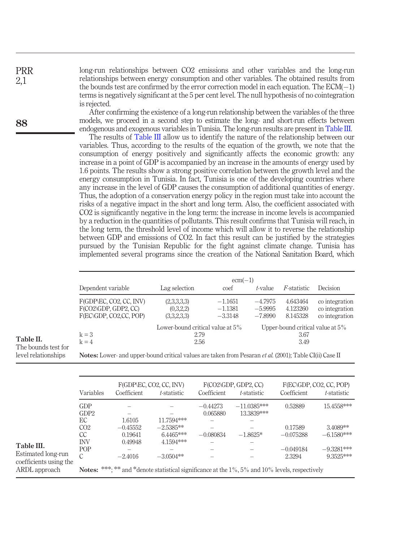long-run relationships between CO2 emissions and other variables and the long-run relationships between energy consumption and other variables. The obtained results from the bounds test are confirmed by the error correction model in each equation. The ECM(-1) terms is negatively significant at the 5 per cent level. The null hypothesis of no cointegration is rejected. PRR

> After confirming the existence of a long-run relationship between the variables of the three models, we proceed in a second step to estimate the long- and short-run effects between endogenous and exogenous variables in Tunisia. The long-run results are present in [Table III](#page-7-1).

> The results of [Table III](#page-7-1) allow us to identify the nature of the relationship between our variables. Thus, according to the results of the equation of the growth, we note that the consumption of energy positively and significantly affects the economic growth: any increase in a point of GDP is accompanied by an increase in the amounts of energy used by 1.6 points. The results show a strong positive correlation between the growth level and the energy consumption in Tunisia. In fact, Tunisia is one of the developing countries where any increase in the level of GDP causes the consumption of additional quantities of energy. Thus, the adoption of a conservation energy policy in the region must take into account the risks of a negative impact in the short and long term. Also, the coefficient associated with CO2 is significantly negative in the long term: the increase in income levels is accompanied by a reduction in the quantities of pollutants. This result confirms that Tunisia will reach, in the long term, the threshold level of income which will allow it to reverse the relationship between GDP and emissions of CO2. In fact this result can be justified by the strategies pursued by the Tunisian Republic for the fight against climate change. Tunisia has implemented several programs since the creation of the National Sanitation Board, which

|                                                                           | $ecm(-1)$                                        |                                     |                                     |                                  |                                                    |  |  |  |
|---------------------------------------------------------------------------|--------------------------------------------------|-------------------------------------|-------------------------------------|----------------------------------|----------------------------------------------------|--|--|--|
| Dependent variable                                                        | Lag selection                                    | coef                                | t-value                             | <i>F</i> -statistic              | Decision                                           |  |  |  |
| F(GDP\EC, CO2, CC, INV)<br>F(CO2\GDP, GDP2, CC)<br>F(EC\GDP, CO2,CC, POP) | (2,3,3,3,3)<br>(0,3,2,2)<br>(3,3,2,3,3)          | $-1.1651$<br>$-1.1381$<br>$-3.3148$ | $-4.7975$<br>$-5.9995$<br>$-7.8990$ | 4.643464<br>4.123260<br>8.145328 | co integration<br>co integration<br>co integration |  |  |  |
| $k = 3$<br>$k = 4$                                                        | Lower-bound critical value at 5%<br>2.79<br>2.56 |                                     |                                     | 3.67<br>3.49                     | Upper-bound critical value at $5\%$                |  |  |  |

Notes: Lower- and upper-bound critical values are taken from Pesaran *et al.* (2001); Table CI(ii) Case II

The bounds test for level relationships

<span id="page-7-0"></span>Table II.

2,1

88

<span id="page-7-1"></span>

|                                         | Variables                      | F(GDP\EC, CO2, CC, INV)<br>t-statistic<br>Coefficient |                                        | Coefficient            | F(CO2\GDP, GDP2, CC)<br>t-statistic                                                                             | F(EC\GDP, CO2, CC, POP)<br>Coefficient<br>t-statistic |                            |  |
|-----------------------------------------|--------------------------------|-------------------------------------------------------|----------------------------------------|------------------------|-----------------------------------------------------------------------------------------------------------------|-------------------------------------------------------|----------------------------|--|
|                                         | <b>GDP</b><br>GDP <sub>2</sub> |                                                       |                                        | $-0.44273$<br>0.065880 | $-11.0385***$<br>13.3839***                                                                                     | 0.52889                                               | 15.4558***                 |  |
|                                         | ЕC<br>CO <sub>2</sub><br>CC.   | 1.6105<br>$-0.45552$<br>0.19641                       | 11.7594***<br>$-2.5385**$<br>6.4465*** | $-0.080834$            | $-1.8625*$                                                                                                      | 0.17589<br>$-0.075288$                                | $3.4089**$<br>$-6.1580***$ |  |
| <b>Table III.</b><br>Estimated long-run | INV<br><b>POP</b><br>C         | 0.49948<br>$-2.4016$                                  | $4.1594***$<br>$-3.0504**$             |                        |                                                                                                                 | $-0.049184$<br>2.3294                                 | $-9.3281***$<br>9.3525***  |  |
| coefficients using the<br>ARDL approach |                                |                                                       |                                        |                        | <b>Notes:</b> ***, ** and *denote statistical significance at the $1\%$ , $5\%$ and $10\%$ levels, respectively |                                                       |                            |  |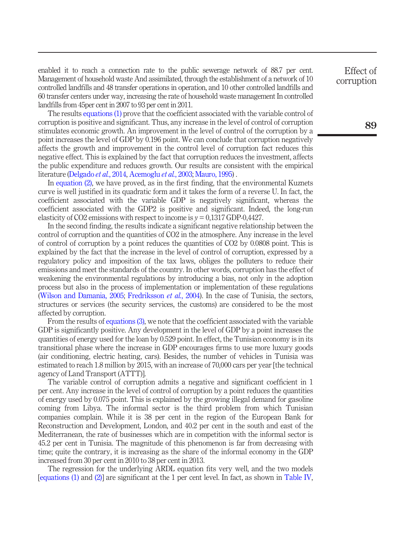enabled it to reach a connection rate to the public sewerage network of 88.7 per cent. Management of household waste And assimilated, through the establishment of a network of 10 controlled landfills and 48 transfer operations in operation, and 10 other controlled landfills and 60 transfer centers under way, increasing the rate of household waste management In controlled landfills from 45per cent in 2007 to 93 per cent in 2011.

The results [equations \(1\)](#page-3-0) prove that the coefficient associated with the variable control of corruption is positive and significant. Thus, any increase in the level of control of corruption stimulates economic growth. An improvement in the level of control of the corruption by a point increases the level of GDP by 0.196 point. We can conclude that corruption negatively affects the growth and improvement in the control level of corruption fact reduces this negative effect. This is explained by the fact that corruption reduces the investment, affects the public expenditure and reduces growth. Our results are consistent with the empirical literature ([Delgado](#page-13-19) et al., 2014, [Acemoglu](#page-12-16) et al., 2003; [Mauro, 1995\)](#page-14-1).

In [equation \(2\)](#page-3-0), we have proved, as in the first finding, that the environmental Kuznets curve is well justified in its quadratic form and it takes the form of a reverse U. In fact, the coefficient associated with the variable GDP is negatively significant, whereas the coefficient associated with the GDP2 is positive and significant. Indeed, the long-run elasticity of CO2 emissions with respect to income is  $y = 0.1317$  GDP-0,4427.

In the second finding, the results indicate a significant negative relationship between the control of corruption and the quantities of CO2 in the atmosphere. Any increase in the level of control of corruption by a point reduces the quantities of CO2 by 0.0808 point. This is explained by the fact that the increase in the level of control of corruption, expressed by a regulatory policy and imposition of the tax laws, obliges the polluters to reduce their emissions and meet the standards of the country. In other words, corruption has the effect of weakening the environmental regulations by introducing a bias, not only in the adoption process but also in the process of implementation or implementation of these regulations [\(Wilson and Damania, 2005](#page-14-3); [Fredriksson](#page-13-5) *et al.*, 2004). In the case of Tunisia, the sectors, structures or services (the security services, the customs) are considered to be the most affected by corruption.

From the results of [equations \(3\)](#page-3-0), we note that the coefficient associated with the variable GDP is significantly positive. Any development in the level of GDP by a point increases the quantities of energy used for the loan by 0.529 point. In effect, the Tunisian economy is in its transitional phase where the increase in GDP encourages firms to use more luxury goods (air conditioning, electric heating, cars). Besides, the number of vehicles in Tunisia was estimated to reach 1.8 million by 2015, with an increase of 70,000 cars per year [the technical agency of Land Transport (ATTT)].

The variable control of corruption admits a negative and significant coefficient in 1 per cent. Any increase in the level of control of corruption by a point reduces the quantities of energy used by 0.075 point. This is explained by the growing illegal demand for gasoline coming from Libya. The informal sector is the third problem from which Tunisian companies complain. While it is 38 per cent in the region of the European Bank for Reconstruction and Development, London, and 40.2 per cent in the south and east of the Mediterranean, the rate of businesses which are in competition with the informal sector is 45.2 per cent in Tunisia. The magnitude of this phenomenon is far from decreasing with time; quite the contrary, it is increasing as the share of the informal economy in the GDP increased from 30 per cent in 2010 to 38 per cent in 2013.

The regression for the underlying ARDL equation fits very well, and the two models [\[equations \(1\)](#page-3-0) and [\(2\)](#page-3-0)] are significant at the 1 per cent level. In fact, as shown in [Table IV](#page-9-0),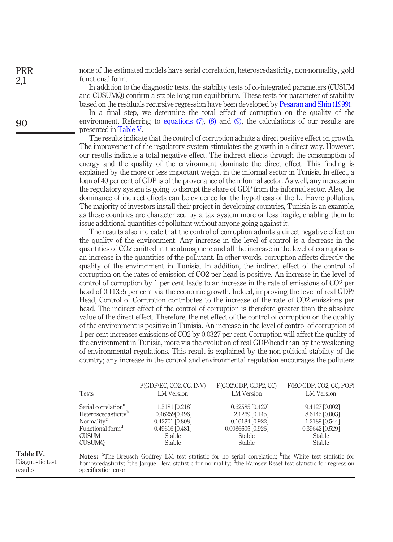none of the estimated models have serial correlation, heteroscedasticity, non-normality, gold functional form.

In addition to the diagnostic tests, the stability tests of co-integrated parameters (CUSUM and CUSUMQ) confirm a stable long-run equilibrium. These tests for parameter of stability based on the residuals recursive regression have been developed by [Pesaran and Shin \(1999\).](#page-14-14)

In a final step, we determine the total effect of corruption on the quality of the environment. Referring to [equations \(7\),](#page-5-0) [\(8\)](#page-5-0) and [\(9\)](#page-5-0), the calculations of our results are presented in [Table V.](#page-10-0)

The results indicate that the control of corruption admits a direct positive effect on growth. The improvement of the regulatory system stimulates the growth in a direct way. However, our results indicate a total negative effect. The indirect effects through the consumption of energy and the quality of the environment dominate the direct effect. This finding is explained by the more or less important weight in the informal sector in Tunisia. In effect, a loan of 40 per cent of GDP is of the provenance of the informal sector. As well, any increase in the regulatory system is going to disrupt the share of GDP from the informal sector. Also, the dominance of indirect effects can be evidence for the hypothesis of the Le Havre pollution. The majority of investors install their project in developing countries, Tunisia is an example, as these countries are characterized by a tax system more or less fragile, enabling them to issue additional quantities of pollutant without anyone going against it.

The results also indicate that the control of corruption admits a direct negative effect on the quality of the environment. Any increase in the level of control is a decrease in the quantities of CO2 emitted in the atmosphere and all the increase in the level of corruption is an increase in the quantities of the pollutant. In other words, corruption affects directly the quality of the environment in Tunisia. In addition, the indirect effect of the control of corruption on the rates of emission of CO2 per head is positive. An increase in the level of control of corruption by 1 per cent leads to an increase in the rate of emissions of CO2 per head of 0.11355 per cent via the economic growth. Indeed, improving the level of real GDP/ Head, Control of Corruption contributes to the increase of the rate of CO2 emissions per head. The indirect effect of the control of corruption is therefore greater than the absolute value of the direct effect. Therefore, the net effect of the control of corruption on the quality of the environment is positive in Tunisia. An increase in the level of control of corruption of 1 per cent increases emissions of CO2 by 0.0327 per cent. Corruption will affect the quality of the environment in Tunisia, more via the evolution of real GDP/head than by the weakening of environmental regulations. This result is explained by the non-political stability of the country; any increase in the control and environmental regulation encourages the polluters

| <b>Tests</b>                    | F(GDP\EC, CO2, CC, INV)<br><b>LM</b> Version | F(CO2\GDP, GDP2, CC)<br><b>LM</b> Version | F(EC\GDP, CO2, CC, POP)<br><b>LM</b> Version |
|---------------------------------|----------------------------------------------|-------------------------------------------|----------------------------------------------|
| Serial correlation <sup>a</sup> | 1.5181 [0.218]                               | 0.62585 [0.429]                           | 9.4127 [0.002]                               |
| Heteroscedasticity <sup>b</sup> | 0.46259[0.496]                               | 2.1269 [0.145]                            | 8.6145 [0.003]                               |
| Normality <sup>c</sup>          | 0.42701 [0.808]                              | 0.16184 [0.922]                           | 1.2189 [0.544]                               |
| Functional form <sup>d</sup>    | 0.49616 [0.481]                              | $0.0086605$ [0.926]                       | 0.39642 [0.529]                              |
| <b>CUSUM</b>                    | <b>Stable</b>                                | <b>Stable</b>                             | <b>Stable</b>                                |
| <b>CUSUMQ</b>                   | <b>Stable</b>                                | <b>Stable</b>                             | <b>Stable</b>                                |

<span id="page-9-0"></span>Table IV. Diagnostic test results

Notes: <sup>a</sup>The Breusch-Godfrey LM test statistic for no serial correlation; <sup>b</sup>the White test statistic for homoscedasticity; <sup>c</sup>the Jarque–Bera statistic for normality; <sup>d</sup>the Ramsey Reset test statistic for regression specification error

PRR 2,1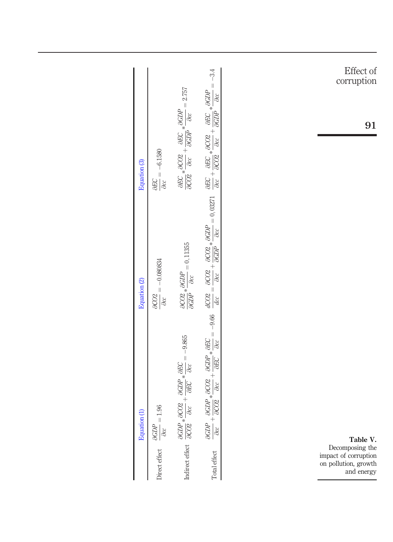<span id="page-10-0"></span>

| Effect of<br>corruption                                                       | $-3.4$<br>$\parallel$                                                                                                                                                                 |                                                                                                                                                      |                                                                       |               |
|-------------------------------------------------------------------------------|---------------------------------------------------------------------------------------------------------------------------------------------------------------------------------------|------------------------------------------------------------------------------------------------------------------------------------------------------|-----------------------------------------------------------------------|---------------|
| 91                                                                            | $\frac{\partial EC}{\partial cc}+\frac{\partial EC}{\partial CO2}*\frac{\partial CO2}{\partial cc}+\frac{\partial EC}{\partial GDP}*\frac{\partial GDP}{\partial cc}$                 | $= 2.757$<br>$\frac{\partial EC}{\partial CO2}*\frac{\partial CO2}{\partial cc}+\frac{\partial EC}{\partial GDP}*\frac{\partial GDP}{\partial cc}$   | $\frac{\partial EC}{\partial cc} = -6.1580$                           | Equation (3)  |
|                                                                               | $\frac{1}{\beta cc} = 0,03271$                                                                                                                                                        |                                                                                                                                                      |                                                                       |               |
|                                                                               | $\frac{dCO2}{dcc} = \frac{\partial CO2}{\partial cc} + \frac{\partial CO2}{\partial GDP} * \frac{\partial GDP}{\partial cc}$                                                          | $\overline{\frac{\partial c}{\partial c}} = 0,11355$<br>$\frac{\partial O2}{\partial GDP}*\frac{\partial GDP}{\partial cc}=$                         | $=-0.080834$<br>$\partial CO2$<br>$\partial c$                        | Equation (2)  |
| Table V.                                                                      | $\frac{\partial GDP}{\partial CO2}\ast \frac{\partial CO2}{\partial cc}+\frac{\partial GDP}{\partial EC}\ast \frac{\partial EC}{\partial cc}=-9.66$<br>$\partial GDP$<br>$\partial c$ | $\frac{\partial GDP}{\partial CO2} * \frac{\partial CO2}{\partial cc} + \frac{\partial GDP}{\partial EC} * \frac{\partial EC}{\partial cc} = -9.865$ | .96<br>$\left\vert {}\right\vert$<br>$\frac{\partial GP}{\partial c}$ | ╒<br>Equation |
| Decomposing the<br>impact of corruption<br>on pollution, growth<br>and energy | Total effect                                                                                                                                                                          | Indirect effect                                                                                                                                      | Direct effect                                                         |               |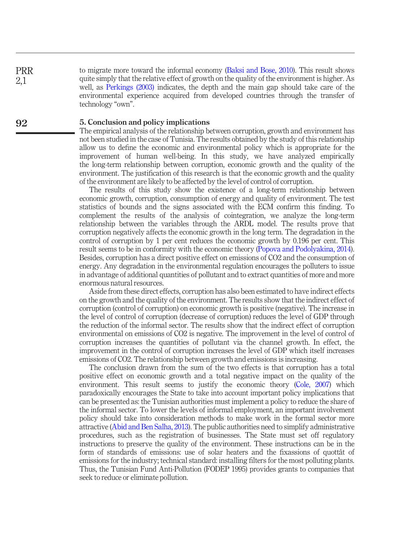to migrate more toward the informal economy [\(Baksi and Bose, 2010\)](#page-12-5). This result shows quite simply that the relative effect of growth on the quality of the environment is higher. As well, as [Perkings \(2003\)](#page-14-15) indicates, the depth and the main gap should take care of the environmental experience acquired from developed countries through the transfer of technology "own".

# 5. Conclusion and policy implications

PRR 2,1

92

The empirical analysis of the relationship between corruption, growth and environment has not been studied in the case of Tunisia. The results obtained by the study of this relationship allow us to define the economic and environmental policy which is appropriate for the improvement of human well-being. In this study, we have analyzed empirically the long-term relationship between corruption, economic growth and the quality of the environment. The justification of this research is that the economic growth and the quality of the environment are likely to be affected by the level of control of corruption.

The results of this study show the existence of a long-term relationship between economic growth, corruption, consumption of energy and quality of environment. The test statistics of bounds and the signs associated with the ECM confirm this finding. To complement the results of the analysis of cointegration, we analyze the long-term relationship between the variables through the ARDL model. The results prove that corruption negatively affects the economic growth in the long term. The degradation in the control of corruption by 1 per cent reduces the economic growth by 0.196 per cent. This result seems to be in conformity with the economic theory ([Popova and Podolyakina, 2014\)](#page-14-16). Besides, corruption has a direct positive effect on emissions of CO2 and the consumption of energy. Any degradation in the environmental regulation encourages the polluters to issue in advantage of additional quantities of pollutant and to extract quantities of more and more enormous natural resources.

Aside from these direct effects, corruption has also been estimated to have indirect effects on the growth and the quality of the environment. The results show that the indirect effect of corruption (control of corruption) on economic growth is positive (negative). The increase in the level of control of corruption (decrease of corruption) reduces the level of GDP through the reduction of the informal sector. The results show that the indirect effect of corruption environmental on emissions of CO2 is negative. The improvement in the level of control of corruption increases the quantities of pollutant via the channel growth. In effect, the improvement in the control of corruption increases the level of GDP which itself increases emissions of CO2. The relationship between growth and emissions is increasing.

The conclusion drawn from the sum of the two effects is that corruption has a total positive effect on economic growth and a total negative impact on the quality of the environment. This result seems to justify the economic theory ([Cole, 2007](#page-12-10)) which paradoxically encourages the State to take into account important policy implications that can be presented as: the Tunisian authorities must implement a policy to reduce the share of the informal sector. To lower the levels of informal employment, an important involvement policy should take into consideration methods to make work in the formal sector more attractive [\(Abid and Ben Salha, 2013\)](#page-12-17). The public authorities need to simplify administrative procedures, such as the registration of businesses. The State must set off regulatory instructions to preserve the quality of the environment. These instructions can be in the form of standards of emissions: use of solar heaters and the fixassions of quottât of emissions for the industry; technical standard: installing filters for the most polluting plants. Thus, the Tunisian Fund Anti-Pollution (FODEP 1995) provides grants to companies that seek to reduce or eliminate pollution.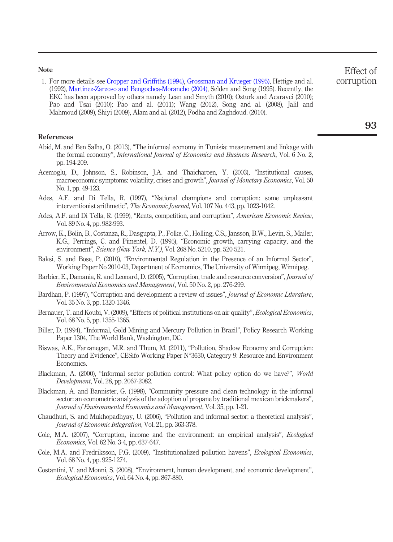# Note

<span id="page-12-0"></span>1. For more details see [Cropper and Gri](#page-13-20)ffiths (1994), [Grossman and Krueger \(1995\),](#page-13-11) Hettige and al. (1992), [Martinez-Zarzoso and Bengochea-Morancho \(2004\),](#page-14-17) Selden and Song (1995). Recently, the EKC has been approved by others namely Lean and Smyth (2010); Ozturk and Acaravci (2010); Pao and Tsai (2010); Pao and al. (2011); Wang (2012), Song and al. (2008), Jalil and Mahmoud (2009), Shiyi (2009), Alam and al. (2012), Fodha and Zaghdoud. (2010).

# References

- <span id="page-12-17"></span>Abid, M. and Ben Salha, O. (2013), "The informal economy in Tunisia: measurement and linkage with the formal economy", International Journal of Economics and Business Research, Vol. 6 No. 2, pp. 194-209.
- <span id="page-12-16"></span>Acemoglu, D., Johnson, S., Robinson, J.A. and Thaicharoen, Y. (2003), "Institutional causes, macroeconomic symptoms: volatility, crises and growth", *Journal of Monetary Economics*, Vol. 50 No. 1, pp. 49-123.
- <span id="page-12-8"></span>Ades, A.F. and Di Tella, R. (1997), "National champions and corruption: some unpleasant interventionist arithmetic", The Economic Journal, Vol. 107 No. 443, pp. 1023-1042.
- <span id="page-12-9"></span>Ades, A.F. and Di Tella, R. (1999), "Rents, competition, and corruption", American Economic Review, Vol. 89 No. 4, pp. 982-993.
- <span id="page-12-14"></span>Arrow, K., Bolin, B., Costanza, R., Dasgupta, P., Folke, C., Holling, C.S., Jansson, B.W., Levin, S., Mailer, K.G., Perrings, C. and Pimentel, D. (1995), "Economic growth, carrying capacity, and the environment", Science (New York, N.Y.), Vol. 268 No. 5210, pp. 520-521.
- <span id="page-12-5"></span>Baksi, S. and Bose, P. (2010), "Environmental Regulation in the Presence of an Informal Sector", Working Paper No 2010-03, Department of Economics, The University of Winnipeg, Winnipeg.
- <span id="page-12-15"></span>Barbier, E., Damania, R. and Leonard, D. (2005), "Corruption, trade and resource conversion", *Journal of* Environmental Economics and Management, Vol. 50 No. 2, pp. 276-299.
- <span id="page-12-7"></span>Bardhan, P. (1997), "Corruption and development: a review of issues", *Journal of Economic Literature*, Vol. 35 No. 3, pp. 1320-1346.
- <span id="page-12-13"></span>Bernauer, T. and Koubi, V. (2009), "Effects of political institutions on air quality", *Ecological Economics*, Vol. 68 No. 5, pp. 1355-1365.
- <span id="page-12-4"></span>Biller, D. (1994), "Informal, Gold Mining and Mercury Pollution in Brazil", Policy Research Working Paper 1304, The World Bank, Washington, DC.
- <span id="page-12-1"></span>Biswas, A.K., Farzanegan, M.R. and Thum, M. (2011), "Pollution, Shadow Economy and Corruption: Theory and Evidence", CESifo Working Paper N°3630, Category 9: Resource and Environment Economics.
- <span id="page-12-2"></span>Blackman, A. (2000), "Informal sector pollution control: What policy option do we have?", World Development, Vol. 28, pp. 2067-2082.
- <span id="page-12-3"></span>Blackman, A. and Bannister, G. (1998), "Community pressure and clean technology in the informal sector: an econometric analysis of the adoption of propane by traditional mexican brickmakers", Journal of Environmental Economics and Management, Vol. 35, pp. 1-21.
- <span id="page-12-6"></span>Chaudhuri, S. and Mukhopadhyay, U. (2006), "Pollution and informal sector: a theoretical analysis", Journal of Economic Integration, Vol. 21, pp. 363-378.
- <span id="page-12-10"></span>Cole, M.A. (2007), "Corruption, income and the environment: an empirical analysis", Ecological Economics, Vol. 62 No. 3-4, pp. 637-647.
- <span id="page-12-12"></span>Cole, M.A. and Fredriksson, P.G. (2009), "Institutionalized pollution havens", Ecological Economics, Vol. 68 No. 4, pp. 925-1274.
- <span id="page-12-11"></span>Costantini, V. and Monni, S. (2008), "Environment, human development, and economic development", Ecological Economics, Vol. 64 No. 4, pp. 867-880.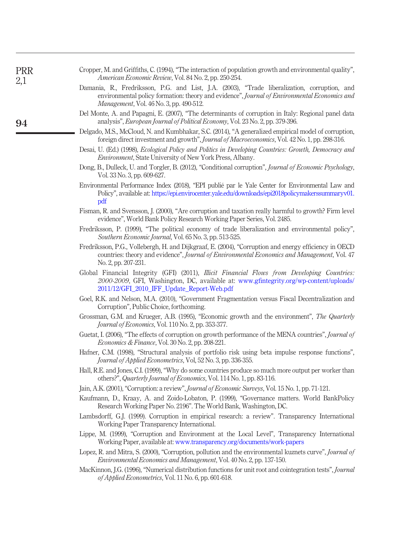<span id="page-13-20"></span><span id="page-13-19"></span><span id="page-13-18"></span><span id="page-13-17"></span><span id="page-13-16"></span><span id="page-13-15"></span><span id="page-13-14"></span><span id="page-13-13"></span><span id="page-13-12"></span><span id="page-13-11"></span><span id="page-13-10"></span><span id="page-13-9"></span><span id="page-13-8"></span><span id="page-13-7"></span><span id="page-13-6"></span><span id="page-13-5"></span><span id="page-13-4"></span><span id="page-13-3"></span><span id="page-13-2"></span><span id="page-13-1"></span><span id="page-13-0"></span>

| <b>PRR</b><br>2,1 | Cropper, M. and Griffiths, C. (1994), "The interaction of population growth and environmental quality",<br><i>American Economic Review, Vol. 84 No. 2, pp. 250-254.</i>                                                                         |
|-------------------|-------------------------------------------------------------------------------------------------------------------------------------------------------------------------------------------------------------------------------------------------|
|                   | Damania, R., Fredriksson, P.G. and List, J.A. (2003), "Trade liberalization, corruption, and<br>environmental policy formation: theory and evidence", Journal of Environmental Economics and<br><i>Management</i> , Vol. 46 No. 3, pp. 490-512. |
| 94                | Del Monte, A. and Papagni, E. (2007), "The determinants of corruption in Italy: Regional panel data<br>analysis", European Journal of Political Economy, Vol. 23 No. 2, pp. 379-396.                                                            |
|                   | Delgado, M.S., McCloud, N. and Kumbhakar, S.C. (2014), "A generalized empirical model of corruption,<br>foreign direct investment and growth", <i>Journal of Macroeconomics</i> , Vol. 42 No. 1, pp. 298-316.                                   |
|                   | Desai, U. (Ed.) (1998), Ecological Policy and Politics in Developing Countries: Growth, Democracy and<br>Environment, State University of New York Press, Albany.                                                                               |
|                   | Dong, B., Dulleck, U. and Torgler, B. (2012), "Conditional corruption", Journal of Economic Psychology,<br>Vol. 33 No. 3, pp. 609-627.                                                                                                          |
|                   | Environmental Performance Index (2018), "EPI publié par le Yale Center for Environmental Law and<br>Policy", available at: https://epi.envirocenter.yale.edu/downloads/epi2018policymakerssummaryv01.<br>pdf                                    |
|                   | Fisman, R. and Svensson, J. (2000), "Are corruption and taxation really harmful to growth? Firm level<br>evidence", World Bank Policy Research Working Paper Series, Vol. 2485.                                                                 |
|                   | Fredriksson, P. (1999), "The political economy of trade liberalization and environmental policy",<br>Southern Economic Journal, Vol. 65 No. 3, pp. 513-525.                                                                                     |
|                   | Fredriksson, P.G., Vollebergh, H. and Dijkgraaf, E. (2004), "Corruption and energy efficiency in OECD<br>countries: theory and evidence", Journal of Environmental Economics and Management, Vol. 47<br>No. 2, pp. 207-231.                     |
|                   | Global Financial Integrity (GFI) (2011), Illicit Financial Flows from Developing Countries:<br>2000-2009, GFI, Washington, DC, available at: www.gfintegrity.org/wp-content/uploads/<br>2011/12/GFI_2010_IFF_Update_Report-Web.pdf              |
|                   | Goel, R.K. and Nelson, M.A. (2010), "Government Fragmentation versus Fiscal Decentralization and<br>Corruption", Public Choice, forthcoming.                                                                                                    |
|                   | Grossman, G.M. and Krueger, A.B. (1995), "Economic growth and the environment", The Quarterly<br>Journal of Economics, Vol. 110 No. 2, pp. 353-377.                                                                                             |
|                   | Guetat, I. (2006), "The effects of corruption on growth performance of the MENA countries", <i>Journal of</i><br><i>Economics &amp; Finance</i> , Vol. 30 No. 2, pp. 208-221.                                                                   |
|                   | Hafner, C.M. (1998), "Structural analysis of portfolio risk using beta impulse response functions",<br>Journal of Applied Econometrics, Vol, 52 No. 3, pp. 336-355.                                                                             |
|                   | Hall, R.E. and Jones, C.I. (1999), "Why do some countries produce so much more output per worker than<br>others?", Quarterly Journal of Economics, Vol. 114 No. 1, pp. 83-116.                                                                  |
|                   | Jain, A.K. (2001), "Corruption: a review", <i>Journal of Economic Surveys</i> , Vol. 15 No. 1, pp. 71-121.                                                                                                                                      |
|                   | Kaufmann, D., Kraay, A. and Zoido-Lobaton, P. (1999), "Governance matters. World BankPolicy<br>Research Working Paper No. 2196". The World Bank, Washington, DC.                                                                                |
|                   | Lambsdorff, G.J. (1999). Corruption in empirical research: a review". Transparency International<br>Working Paper Transparency International.                                                                                                   |
|                   | Lippe, M. (1999), "Corruption and Environment at the Local Level", Transparency International<br>Working Paper, available at: www.transparency.org/documents/work-papers                                                                        |
|                   | Lopez, R. and Mitra, S. (2000), "Corruption, pollution and the environmental kuznets curve", Journal of<br>Environmental Economics and Management, Vol. 40 No. 2, pp. 137-150.                                                                  |
|                   | MacKinnon, J.G. (1996), "Numerical distribution functions for unit root and cointegration tests", Journal<br>of Applied Econometrics, Vol. 11 No. 6, pp. 601-618.                                                                               |
|                   |                                                                                                                                                                                                                                                 |